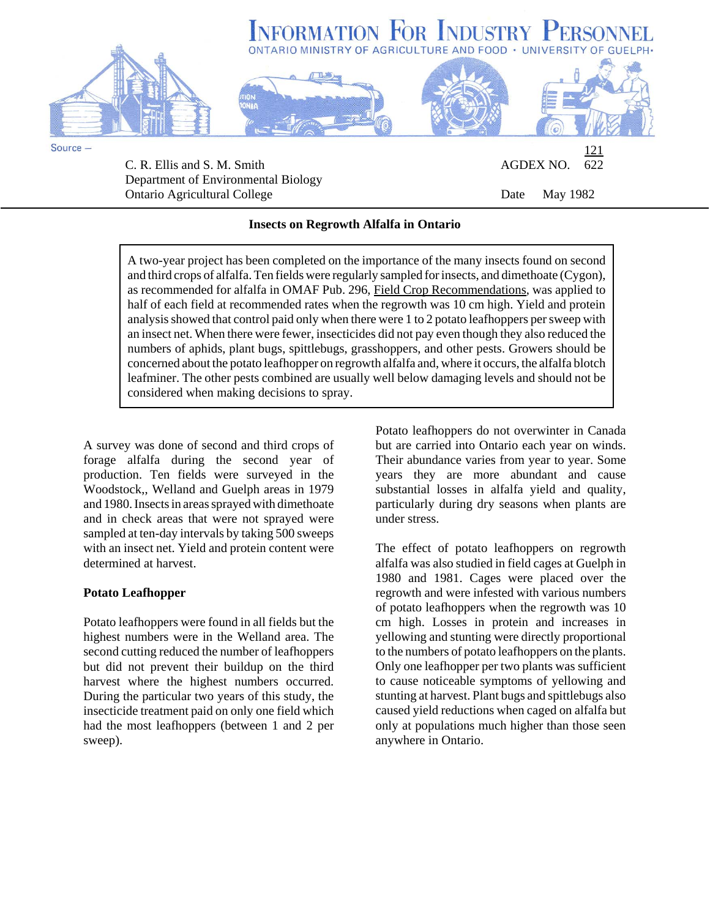

Department of Environmental Biology Ontario Agricultural College **Date College** Date May 1982

## **Insects on Regrowth Alfalfa in Ontario**

A two-year project has been completed on the importance of the many insects found on second and third crops of alfalfa. Ten fields were regularly sampled for insects, and dimethoate (Cygon), as recommended for alfalfa in OMAF Pub. 296, Field Crop Recommendations, was applied to half of each field at recommended rates when the regrowth was 10 cm high. Yield and protein analysis showed that control paid only when there were 1 to 2 potato leafhoppers per sweep with an insect net. When there were fewer, insecticides did not pay even though they also reduced the numbers of aphids, plant bugs, spittlebugs, grasshoppers, and other pests. Growers should be concerned about the potato leafhopper on regrowth alfalfa and, where it occurs, the alfalfa blotch leafminer. The other pests combined are usually well below damaging levels and should not be considered when making decisions to spray.

A survey was done of second and third crops of forage alfalfa during the second year of production. Ten fields were surveyed in the Woodstock,, Welland and Guelph areas in 1979 and 1980. Insects in areas sprayed with dimethoate and in check areas that were not sprayed were sampled at ten-day intervals by taking 500 sweeps with an insect net. Yield and protein content were determined at harvest.

## **Potato Leafhopper**

Potato leafhoppers were found in all fields but the highest numbers were in the Welland area. The second cutting reduced the number of leafhoppers but did not prevent their buildup on the third harvest where the highest numbers occurred. During the particular two years of this study, the insecticide treatment paid on only one field which had the most leafhoppers (between 1 and 2 per sweep).

Potato leafhoppers do not overwinter in Canada but are carried into Ontario each year on winds. Their abundance varies from year to year. Some years they are more abundant and cause substantial losses in alfalfa yield and quality, particularly during dry seasons when plants are under stress.

The effect of potato leafhoppers on regrowth alfalfa was also studied in field cages at Guelph in 1980 and 1981. Cages were placed over the regrowth and were infested with various numbers of potato leafhoppers when the regrowth was 10 cm high. Losses in protein and increases in yellowing and stunting were directly proportional to the numbers of potato leafhoppers on the plants. Only one leafhopper per two plants was sufficient to cause noticeable symptoms of yellowing and stunting at harvest. Plant bugs and spittlebugs also caused yield reductions when caged on alfalfa but only at populations much higher than those seen anywhere in Ontario.